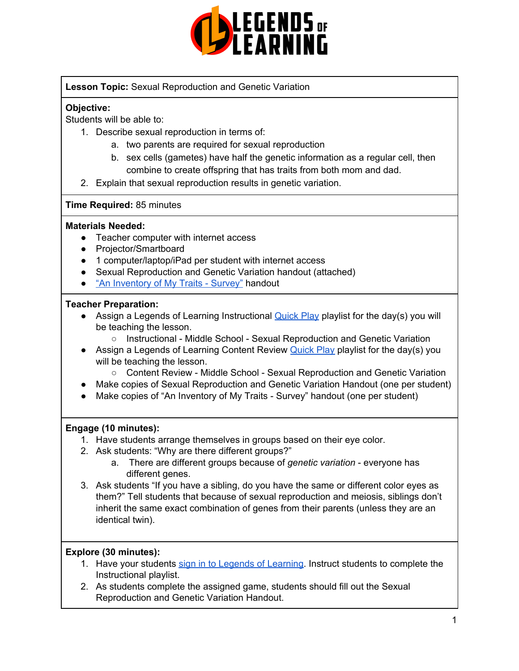

## **Lesson Topic:** Sexual Reproduction and Genetic Variation

#### **Objective:**

Students will be able to:

- 1. Describe sexual reproduction in terms of:
	- a. two parents are required for sexual reproduction
	- b. sex cells (gametes) have half the genetic information as a regular cell, then combine to create offspring that has traits from both mom and dad.
- 2. Explain that sexual reproduction results in genetic variation.

#### **Time Required:** 85 minutes

#### **Materials Needed:**

- Teacher computer with internet access
- Projector/Smartboard
- 1 computer/laptop/iPad per student with internet access
- Sexual Reproduction and Genetic Variation handout (attached)
- "An [Inventory](https://learn.genetics.utah.edu/content/basics/activities/pdfs/InventoryOfTraits.pdf) of My Traits Survey" handout

#### **Teacher Preparation:**

- Assign a Legends of Learning Instructional [Quick](https://intercom.help/legends-of-learning/en/articles/2701866-assigning-a-quick-play-playlist) Play playlist for the day(s) you will be teaching the lesson.
	- Instructional Middle School Sexual Reproduction and Genetic Variation
- Assign a Legends of Learning Content Review [Quick](https://intercom.help/legends-of-learning/en/articles/2701866-assigning-a-quick-play-playlist) Play playlist for the day(s) you will be teaching the lesson.
	- Content Review Middle School Sexual Reproduction and Genetic Variation
- Make copies of Sexual Reproduction and Genetic Variation Handout (one per student)
- Make copies of "An Inventory of My Traits Survey" handout (one per student)

#### **Engage (10 minutes):**

- 1. Have students arrange themselves in groups based on their eye color.
- 2. Ask students: "Why are there different groups?"
	- a. There are different groups because of *genetic variation* everyone has different genes.
- 3. Ask students "If you have a sibling, do you have the same or different color eyes as them?" Tell students that because of sexual reproduction and meiosis, siblings don't inherit the same exact combination of genes from their parents (unless they are an identical twin).

## **Explore (30 minutes):**

- 1. Have your students sign in to Legends of [Learning](https://intercom.help/legends-of-learning/en/articles/2154920-students-joining-a-playlist). Instruct students to complete the Instructional playlist.
- 2. As students complete the assigned game, students should fill out the Sexual Reproduction and Genetic Variation Handout.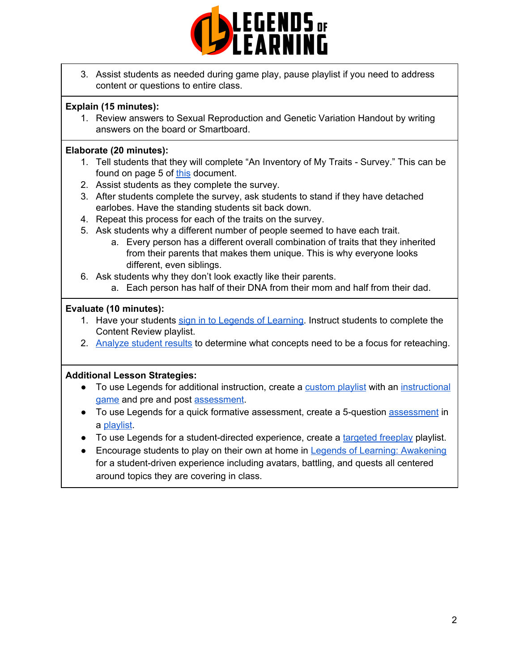

3. Assist students as needed during game play, pause playlist if you need to address content or questions to entire class.

## **Explain (15 minutes):**

1. Review answers to Sexual Reproduction and Genetic Variation Handout by writing answers on the board or Smartboard.

## **Elaborate (20 minutes):**

- 1. Tell students that they will complete "An Inventory of My Traits Survey." This can be found on page 5 of [this](https://learn.genetics.utah.edu/content/basics/activities/pdfs/InventoryOfTraits.pdf) document.
- 2. Assist students as they complete the survey.
- 3. After students complete the survey, ask students to stand if they have detached earlobes. Have the standing students sit back down.
- 4. Repeat this process for each of the traits on the survey.
- 5. Ask students why a different number of people seemed to have each trait.
	- a. Every person has a different overall combination of traits that they inherited from their parents that makes them unique. This is why everyone looks different, even siblings.
- 6. Ask students why they don't look exactly like their parents.
	- a. Each person has half of their DNA from their mom and half from their dad.

# **Evaluate (10 minutes):**

- 1. Have your students sign in to Legends of [Learning](https://intercom.help/legends-of-learning/en/articles/2154920-students-joining-a-playlist). Instruct students to complete the Content Review playlist.
- 2. [Analyze](https://intercom.help/legends-of-learning/en/articles/2154918-tracking-student-progress-and-performance) student results to determine what concepts need to be a focus for reteaching.

# **Additional Lesson Strategies:**

- To use Legends for additional instruction, create a [custom](https://intercom.help/legends-of-learning/en/articles/2154910-creating-a-playlist) playlist with an [instructional](https://intercom.help/legends-of-learning/en/articles/3505828-types-of-games) [game](https://intercom.help/legends-of-learning/en/articles/3505828-types-of-games) and pre and post [assessment](https://intercom.help/legends-of-learning/en/articles/2154913-adding-assessments-to-a-playlist).
- To use Legends for a quick formative [assessment](https://intercom.help/legends-of-learning/en/articles/2154913-adding-assessments-to-a-playlist), create a 5-question assessment in a [playlist](https://intercom.help/legends-of-learning/en/articles/2154910-creating-a-playlist).
- To use Legends for a student-directed experience, create a [targeted](https://intercom.help/legends-of-learning/en/articles/3340814-targeted-freeplay) freeplay playlist.
- Encourage students to play on their own at home in Legends of Learning: [Awakening](https://intercom.help/legends-of-learning/en/articles/2425490-legends-of-learning-awakening) for a student-driven experience including avatars, battling, and quests all centered around topics they are covering in class.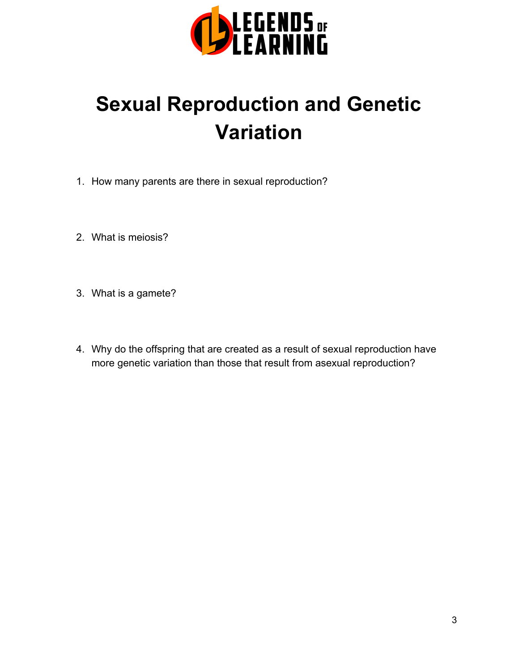

# **Sexual Reproduction and Genetic Variation**

- 1. How many parents are there in sexual reproduction?
- 2. What is meiosis?
- 3. What is a gamete?
- 4. Why do the offspring that are created as a result of sexual reproduction have more genetic variation than those that result from asexual reproduction?